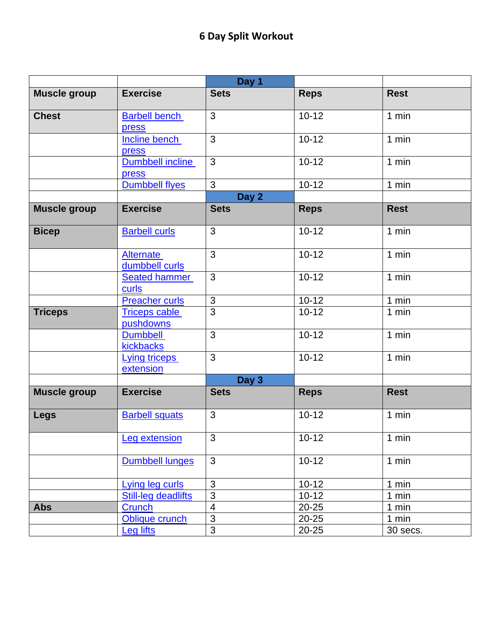|                     |                                   | Day 1          |             |             |
|---------------------|-----------------------------------|----------------|-------------|-------------|
| <b>Muscle group</b> | <b>Exercise</b>                   | <b>Sets</b>    | <b>Reps</b> | <b>Rest</b> |
| <b>Chest</b>        | <b>Barbell bench</b><br>press     | 3              | $10 - 12$   | 1 min       |
|                     | Incline bench<br>press            | 3              | $10 - 12$   | 1 min       |
|                     | Dumbbell incline<br>press         | $\mathfrak{S}$ | $10 - 12$   | 1 min       |
|                     | <b>Dumbbell flyes</b>             | 3              | $10 - 12$   | 1 min       |
|                     |                                   | Day 2          |             |             |
| <b>Muscle group</b> | <b>Exercise</b>                   | <b>Sets</b>    | <b>Reps</b> | <b>Rest</b> |
| <b>Bicep</b>        | <b>Barbell curls</b>              | 3              | $10 - 12$   | 1 min       |
|                     | Alternate<br>dumbbell curls       | 3              | $10 - 12$   | 1 min       |
|                     | <b>Seated hammer</b><br>curls     | 3              | $10 - 12$   | 1 min       |
|                     | <b>Preacher curls</b>             | 3              | $10 - 12$   | 1 min       |
| <b>Triceps</b>      | <b>Triceps cable</b><br>pushdowns | $\overline{3}$ | $10 - 12$   | 1 min       |
|                     | <b>Dumbbell</b><br>kickbacks      | 3              | $10 - 12$   | 1 min       |
|                     | <b>Lying triceps</b><br>extension | 3              | $10 - 12$   | 1 min       |
|                     |                                   | Day 3          |             |             |
| <b>Muscle group</b> | <b>Exercise</b>                   | <b>Sets</b>    | <b>Reps</b> | <b>Rest</b> |
| <b>Legs</b>         | <b>Barbell squats</b>             | 3              | $10 - 12$   | $1$ min     |
|                     | <b>Leg extension</b>              | $\overline{3}$ | $10-12$     | 1 min       |
|                     | Dumbbell lunges                   | $\mathfrak{S}$ | $10 - 12$   | 1 min       |
|                     | Lying leg curls                   | 3              | $10 - 12$   | 1 min       |
|                     | <b>Still-leg deadlifts</b>        | $\overline{3}$ | $10 - 12$   | 1 min       |
| <b>Abs</b>          | Crunch                            | $\overline{4}$ | $20 - 25$   | 1 min       |
|                     | Oblique crunch                    | $\overline{3}$ | $20 - 25$   | 1 min       |
|                     | <b>Leg lifts</b>                  | 3              | $20 - 25$   | 30 secs.    |